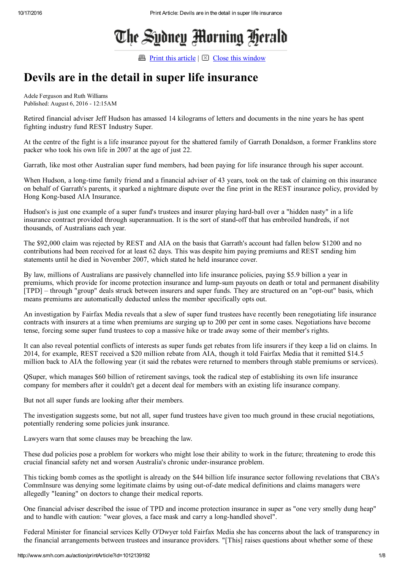# The Sydney Morning Herald

**Print this [article](javascript:window.print();)**  $\boxtimes$  Close this [window](javascript:window.close();)

### Devils are in the detail in super life insurance

Adele Ferguson and Ruth Williams Published: August 6, 2016 12:15AM

Retired financial adviser Jeff Hudson has amassed 14 kilograms of letters and documents in the nine years he has spent fighting industry fund REST Industry Super.

At the centre of the fight is a life insurance payout for the shattered family of Garrath Donaldson, a former Franklins store packer who took his own life in 2007 at the age of just 22.

Garrath, like most other Australian super fund members, had been paying for life insurance through his super account.

When Hudson, a long-time family friend and a financial adviser of 43 years, took on the task of claiming on this insurance on behalf of Garrath's parents, it sparked a nightmare dispute over the fine print in the REST insurance policy, provided by Hong Kong-based AIA Insurance.

Hudson's is just one example of a super fund's trustees and insurer playing hard-ball over a "hidden nasty" in a life insurance contract provided through superannuation. It is the sort of stand-off that has embroiled hundreds, if not thousands, of Australians each year.

The \$92,000 claim was rejected by REST and AIA on the basis that Garrath's account had fallen below \$1200 and no contributions had been received for at least 62 days. This was despite him paying premiums and REST sending him statements until he died in November 2007, which stated he held insurance cover.

By law, millions of Australians are passively channelled into life insurance policies, paying \$5.9 billion a year in premiums, which provide for income protection insurance and lump-sum payouts on death or total and permanent disability [TPD] – through "group" deals struck between insurers and super funds. They are structured on an "opt-out" basis, which means premiums are automatically deducted unless the member specifically opts out.

An investigation by Fairfax Media reveals that a slew of super fund trustees have recently been renegotiating life insurance contracts with insurers at a time when premiums are surging up to 200 per cent in some cases. Negotiations have become tense, forcing some super fund trustees to cop a massive hike or trade away some of their member's rights.

It can also reveal potential conflicts of interests as super funds get rebates from life insurers if they keep a lid on claims. In 2014, for example, REST received a \$20 million rebate from AIA, though it told Fairfax Media that it remitted \$14.5 million back to AIA the following year (it said the rebates were returned to members through stable premiums or services).

QSuper, which manages \$60 billion of retirement savings, took the radical step of establishing its own life insurance company for members after it couldn't get a decent deal for members with an existing life insurance company.

But not all super funds are looking after their members.

The investigation suggests some, but not all, super fund trustees have given too much ground in these crucial negotiations, potentially rendering some policies junk insurance.

Lawyers warn that some clauses may be breaching the law.

These dud policies pose a problem for workers who might lose their ability to work in the future; threatening to erode this crucial financial safety net and worsen Australia's chronic under-insurance problem.

This ticking bomb comes as the spotlight is already on the \$44 billion life insurance sector following revelations that CBA's CommInsure was denying some legitimate claims by using out-of-date medical definitions and claims managers were allegedly "leaning" on doctors to change their medical reports.

One financial adviser described the issue of TPD and income protection insurance in super as "one very smelly dung heap" and to handle with caution: "wear gloves, a face mask and carry a long-handled shovel".

Federal Minister for financial services Kelly O'Dwyer told Fairfax Media she has concerns about the lack of transparency in the financial arrangements between trustees and insurance providers. "[This] raises questions about whether some of these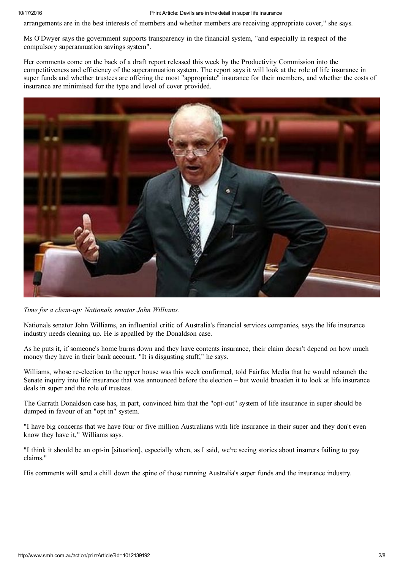10/17/2016 Print Article: Devils are in the detail in super life insurance

arrangements are in the best interests of members and whether members are receiving appropriate cover," she says.

Ms O'Dwyer says the government supports transparency in the financial system, "and especially in respect of the compulsory superannuation savings system".

Her comments come on the back of a draft report released this week by the Productivity Commission into the competitiveness and efficiency of the superannuation system. The report says it will look at the role of life insurance in super funds and whether trustees are offering the most "appropriate" insurance for their members, and whether the costs of insurance are minimised for the type and level of cover provided.



Time for a clean-up: Nationals senator John Williams.

Nationals senator John Williams, an influential critic of Australia's financial services companies, says the life insurance industry needs cleaning up. He is appalled by the Donaldson case.

As he puts it, if someone's home burns down and they have contents insurance, their claim doesn't depend on how much money they have in their bank account. "It is disgusting stuff," he says.

Williams, whose re-election to the upper house was this week confirmed, told Fairfax Media that he would relaunch the Senate inquiry into life insurance that was announced before the election – but would broaden it to look at life insurance deals in super and the role of trustees.

The Garrath Donaldson case has, in part, convinced him that the "opt-out" system of life insurance in super should be dumped in favour of an "opt in" system.

"I have big concerns that we have four or five million Australians with life insurance in their super and they don't even know they have it," Williams says.

"I think it should be an opt-in [situation], especially when, as I said, we're seeing stories about insurers failing to pay claims."

His comments will send a chill down the spine of those running Australia's super funds and the insurance industry.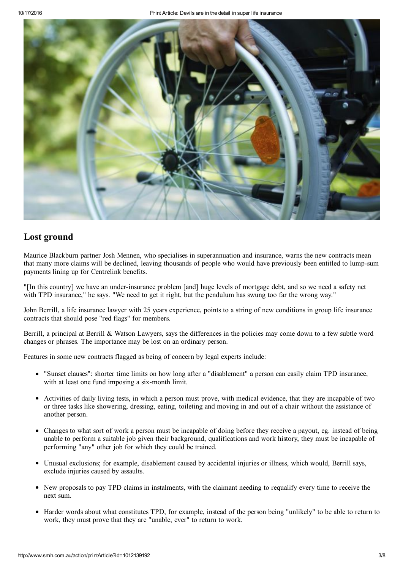

#### Lost ground

Maurice Blackburn partner Josh Mennen, who specialises in superannuation and insurance, warns the new contracts mean that many more claims will be declined, leaving thousands of people who would have previously been entitled to lumpsum payments lining up for Centrelink benefits.

"[In this country] we have an underinsurance problem [and] huge levels of mortgage debt, and so we need a safety net with TPD insurance," he says. "We need to get it right, but the pendulum has swung too far the wrong way."

John Berrill, a life insurance lawyer with 25 years experience, points to a string of new conditions in group life insurance contracts that should pose "red flags" for members.

Berrill, a principal at Berrill & Watson Lawyers, says the differences in the policies may come down to a few subtle word changes or phrases. The importance may be lost on an ordinary person.

Features in some new contracts flagged as being of concern by legal experts include:

- "Sunset clauses": shorter time limits on how long after a "disablement" a person can easily claim TPD insurance, with at least one fund imposing a six-month limit.
- Activities of daily living tests, in which a person must prove, with medical evidence, that they are incapable of two or three tasks like showering, dressing, eating, toileting and moving in and out of a chair without the assistance of another person.
- Changes to what sort of work a person must be incapable of doing before they receive a payout, eg. instead of being unable to perform a suitable job given their background, qualifications and work history, they must be incapable of performing "any" other job for which they could be trained.
- Unusual exclusions; for example, disablement caused by accidental injuries or illness, which would, Berrill says, exclude injuries caused by assaults.
- New proposals to pay TPD claims in instalments, with the claimant needing to requalify every time to receive the next sum.
- Harder words about what constitutes TPD, for example, instead of the person being "unlikely" to be able to return to work, they must prove that they are "unable, ever" to return to work.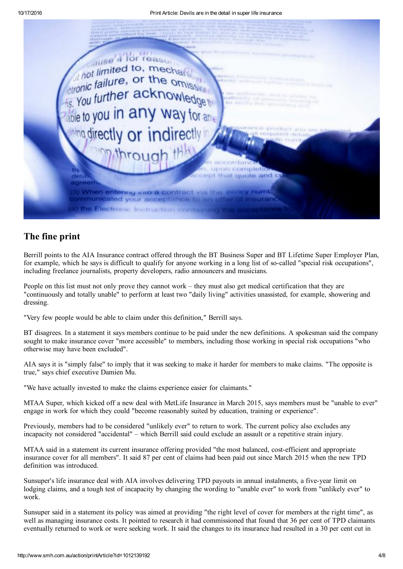

#### The fine print

Berrill points to the AIA Insurance contract offered through the BT Business Super and BT Lifetime Super Employer Plan, for example, which he says is difficult to qualify for anyone working in a long list of so-called "special risk occupations", including freelance journalists, property developers, radio announcers and musicians.

People on this list must not only prove they cannot work – they must also get medical certification that they are "continuously and totally unable" to perform at least two "daily living" activities unassisted, for example, showering and dressing.

"Very few people would be able to claim under this definition," Berrill says.

BT disagrees. In a statement it says members continue to be paid under the new definitions. A spokesman said the company sought to make insurance cover "more accessible" to members, including those working in special risk occupations "who otherwise may have been excluded".

AIA says it is "simply false" to imply that it was seeking to make it harder for members to make claims. "The opposite is true," says chief executive Damien Mu.

"We have actually invested to make the claims experience easier for claimants."

MTAA Super, which kicked off a new deal with MetLife Insurance in March 2015, says members must be "unable to ever" engage in work for which they could "become reasonably suited by education, training or experience".

Previously, members had to be considered "unlikely ever" to return to work. The current policy also excludes any incapacity not considered "accidental" – which Berrill said could exclude an assault or a repetitive strain injury.

MTAA said in a statement its current insurance offering provided "the most balanced, costefficient and appropriate insurance cover for all members". It said 87 per cent of claims had been paid out since March 2015 when the new TPD definition was introduced.

Sunsuper's life insurance deal with AIA involves delivering TPD payouts in annual instalments, a five-year limit on lodging claims, and a tough test of incapacity by changing the wording to "unable ever" to work from "unlikely ever" to work.

Sunsuper said in a statement its policy was aimed at providing "the right level of cover for members at the right time", as well as managing insurance costs. It pointed to research it had commissioned that found that 36 per cent of TPD claimants eventually returned to work or were seeking work. It said the changes to its insurance had resulted in a 30 per cent cut in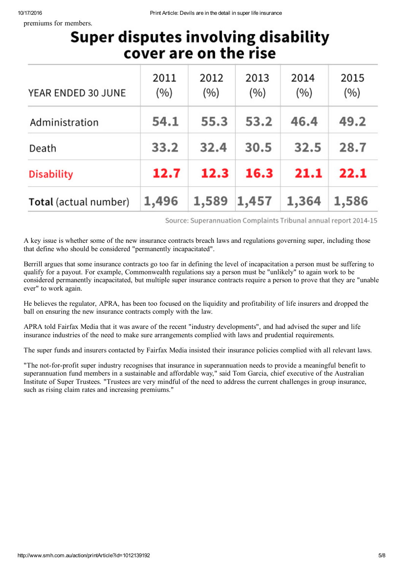premiums for members.

## **Super disputes involving disability** cover are on the rise

| YEAR ENDED 30 JUNE    | 2011<br>(%) | 2012<br>(%) | 2013<br>(%) | 2014<br>(%) | 2015<br>(%) |
|-----------------------|-------------|-------------|-------------|-------------|-------------|
| Administration        | 54.1        | 55.3        | 53.2        | 46.4        | 49.2        |
| Death                 | 33.2        | 32.4        | 30.5        | 32.5        | 28.7        |
| <b>Disability</b>     | 12.7        | 12.3        | 16.3        | 21.1        | 22.1        |
| Total (actual number) | 1,496       | 1,589       | 1,457       | 1,364       | 1,586       |

Source: Superannuation Complaints Tribunal annual report 2014-15

A key issue is whether some of the new insurance contracts breach laws and regulations governing super, including those that define who should be considered "permanently incapacitated".

Berrill argues that some insurance contracts go too far in defining the level of incapacitation a person must be suffering to qualify for a payout. For example, Commonwealth regulations say a person must be "unlikely" to again work to be considered permanently incapacitated, but multiple super insurance contracts require a person to prove that they are "unable ever" to work again.

He believes the regulator, APRA, has been too focused on the liquidity and profitability of life insurers and dropped the ball on ensuring the new insurance contracts comply with the law.

APRA told Fairfax Media that it was aware of the recent "industry developments", and had advised the super and life insurance industries of the need to make sure arrangements complied with laws and prudential requirements.

The super funds and insurers contacted by Fairfax Media insisted their insurance policies complied with all relevant laws.

"The not-for-profit super industry recognises that insurance in superannuation needs to provide a meaningful benefit to superannuation fund members in a sustainable and affordable way," said Tom Garcia, chief executive of the Australian Institute of Super Trustees. "Trustees are very mindful of the need to address the current challenges in group insurance, such as rising claim rates and increasing premiums."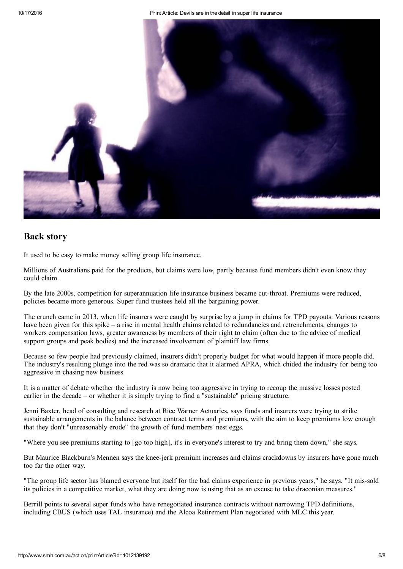

#### Back story

It used to be easy to make money selling group life insurance.

Millions of Australians paid for the products, but claims were low, partly because fund members didn't even know they could claim.

By the late 2000s, competition for superannuation life insurance business became cut-throat. Premiums were reduced, policies became more generous. Super fund trustees held all the bargaining power.

The crunch came in 2013, when life insurers were caught by surprise by a jump in claims for TPD payouts. Various reasons have been given for this spike – a rise in mental health claims related to redundancies and retrenchments, changes to workers compensation laws, greater awareness by members of their right to claim (often due to the advice of medical support groups and peak bodies) and the increased involvement of plaintiff law firms.

Because so few people had previously claimed, insurers didn't properly budget for what would happen if more people did. The industry's resulting plunge into the red was so dramatic that it alarmed APRA, which chided the industry for being too aggressive in chasing new business.

It is a matter of debate whether the industry is now being too aggressive in trying to recoup the massive losses posted earlier in the decade – or whether it is simply trying to find a "sustainable" pricing structure.

Jenni Baxter, head of consulting and research at Rice Warner Actuaries, says funds and insurers were trying to strike sustainable arrangements in the balance between contract terms and premiums, with the aim to keep premiums low enough that they don't "unreasonably erode" the growth of fund members' nest eggs.

"Where you see premiums starting to [go too high], it's in everyone's interest to try and bring them down," she says.

But Maurice Blackburn's Mennen says the knee-jerk premium increases and claims crackdowns by insurers have gone much too far the other way.

"The group life sector has blamed everyone but itself for the bad claims experience in previous years," he says. "It missold its policies in a competitive market, what they are doing now is using that as an excuse to take draconian measures."

Berrill points to several super funds who have renegotiated insurance contracts without narrowing TPD definitions, including CBUS (which uses TAL insurance) and the Alcoa Retirement Plan negotiated with MLC this year.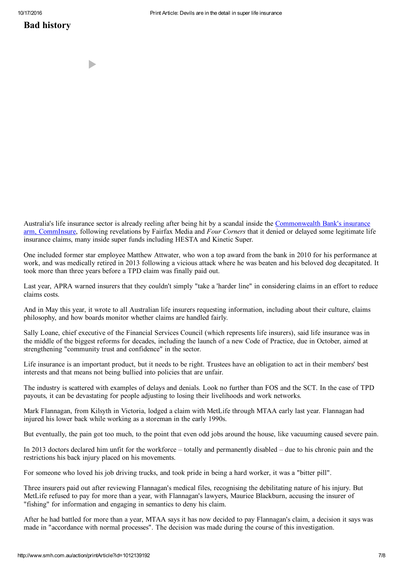#### Bad history

D

Australia's life insurance sector is already reeling after being hit by a scandal inside the [Commonwealth](http://www.smh.com.au/business/banking-and-finance/comminsure-accused-of-turning-its-back-on-its-own-mentally-ill-employee-20160304-gnakh2) Bank's insurance arm, CommInsure, following revelations by Fairfax Media and Four Corners that it denied or delayed some legitimate life insurance claims, many inside super funds including HESTA and Kinetic Super.

One included former star employee Matthew Attwater, who won a top award from the bank in 2010 for his performance at work, and was medically retired in 2013 following a vicious attack where he was beaten and his beloved dog decapitated. It took more than three years before a TPD claim was finally paid out.

Last year, APRA warned insurers that they couldn't simply "take a 'harder line" in considering claims in an effort to reduce claims costs.

And in May this year, it wrote to all Australian life insurers requesting information, including about their culture, claims philosophy, and how boards monitor whether claims are handled fairly.

Sally Loane, chief executive of the Financial Services Council (which represents life insurers), said life insurance was in the middle of the biggest reforms for decades, including the launch of a new Code of Practice, due in October, aimed at strengthening "community trust and confidence" in the sector.

Life insurance is an important product, but it needs to be right. Trustees have an obligation to act in their members' best interests and that means not being bullied into policies that are unfair.

The industry is scattered with examples of delays and denials. Look no further than FOS and the SCT. In the case of TPD payouts, it can be devastating for people adjusting to losing their livelihoods and work networks.

Mark Flannagan, from Kilsyth in Victoria, lodged a claim with MetLife through MTAA early last year. Flannagan had injured his lower back while working as a storeman in the early 1990s.

But eventually, the pain got too much, to the point that even odd jobs around the house, like vacuuming caused severe pain.

In 2013 doctors declared him unfit for the workforce – totally and permanently disabled – due to his chronic pain and the restrictions his back injury placed on his movements.

For someone who loved his job driving trucks, and took pride in being a hard worker, it was a "bitter pill".

Three insurers paid out after reviewing Flannagan's medical files, recognising the debilitating nature of his injury. But MetLife refused to pay for more than a year, with Flannagan's lawyers, Maurice Blackburn, accusing the insurer of "fishing" for information and engaging in semantics to deny his claim.

After he had battled for more than a year, MTAA says it has now decided to pay Flannagan's claim, a decision it says was made in "accordance with normal processes". The decision was made during the course of this investigation.